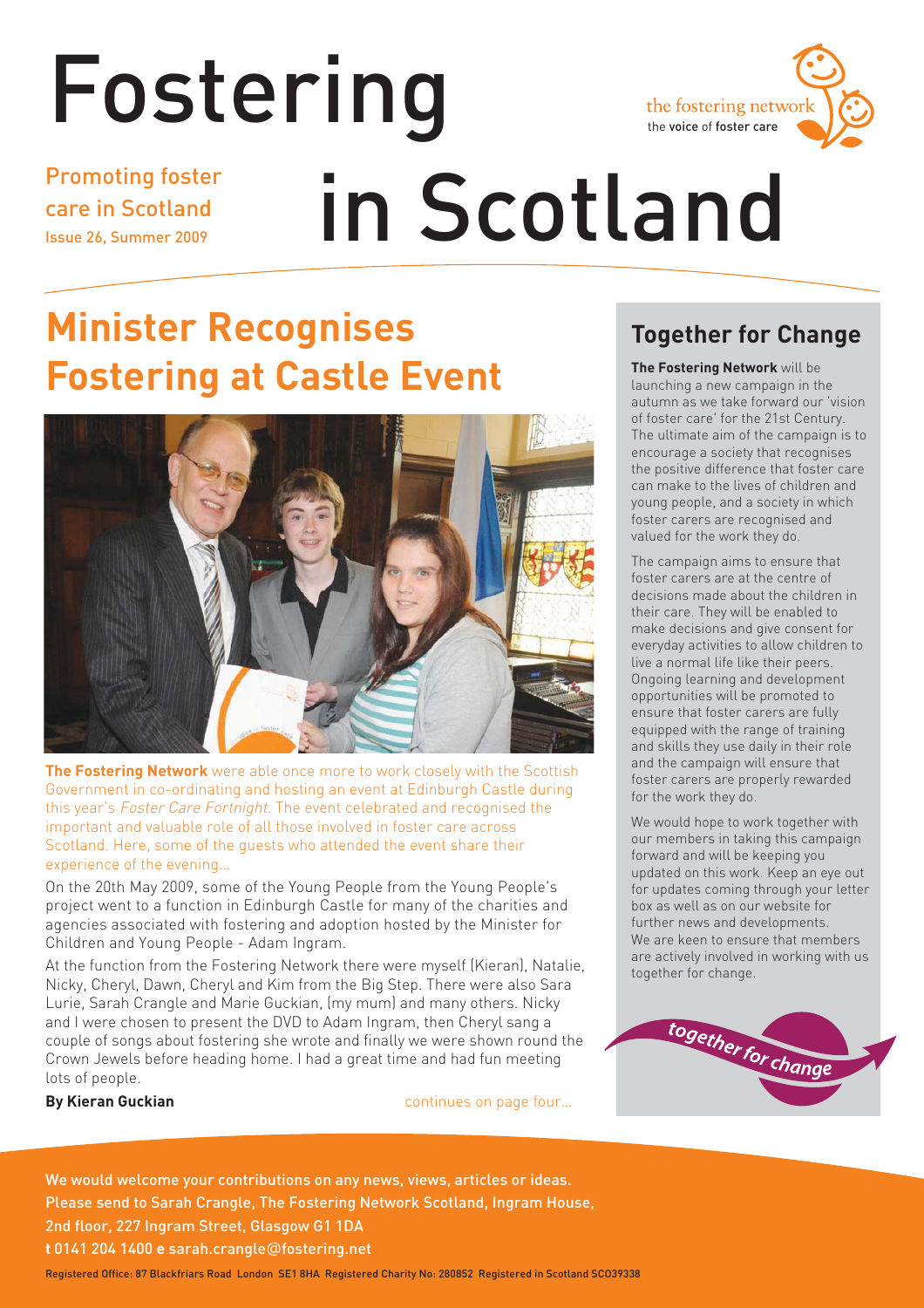# Fostering Promoting foster



care in Scotland Issue 26, Summer 2009

# in Scotland

## **Minister Recognises Fostering at Castle Event**



**The Fostering Network** were able once more to work closely with the Scottish Government in co-ordinating and hosting an event at Edinburgh Castle during this year's Foster Care Fortnight. The event celebrated and recognised the important and valuable role of all those involved in foster care across Scotland. Here, some of the guests who attended the event share their experience of the evening…

On the 20th May 2009, some of the Young People from the Young People's project went to a function in Edinburgh Castle for many of the charities and agencies associated with fostering and adoption hosted by the Minister for Children and Young People - Adam Ingram.

At the function from the Fostering Network there were myself (Kieran), Natalie, Nicky, Cheryl, Dawn, Cheryl and Kim from the Big Step. There were also Sara Lurie, Sarah Crangle and Marie Guckian, (my mum) and many others. Nicky and I were chosen to present the DVD to Adam Ingram, then Cheryl sang a couple of songs about fostering she wrote and finally we were shown round the Crown Jewels before heading home. I had a great time and had fun meeting lots of people.

**By Kieran Guckian by Kieran Guckian continues on page four...** 

## **Together for Change**

**The Fostering Network** will be launching a new campaign in the autumn as we take forward our 'vision of foster care' for the 21st Century. The ultimate aim of the campaign is to encourage a society that recognises the positive difference that foster care can make to the lives of children and young people, and a society in which foster carers are recognised and valued for the work they do.

The campaign aims to ensure that foster carers are at the centre of decisions made about the children in their care. They will be enabled to make decisions and give consent for everyday activities to allow children to live a normal life like their peers. Ongoing learning and development opportunities will be promoted to ensure that foster carers are fully equipped with the range of training and skills they use daily in their role and the campaign will ensure that foster carers are properly rewarded for the work they do.

We would hope to work together with our members in taking this campaign forward and will be keeping you updated on this work. Keep an eye out for updates coming through your letter box as well as on our website for further news and developments. We are keen to ensure that members are actively involved in working with us together for change.



We would welcome your contributions on any news, views, articles or ideas. Please send to Sarah Crangle, The Fostering Network Scotland, Ingram House, 2nd floor, 227 Ingram Street, Glasgow G1 1DA **t** 0141 204 1400 **e** sarah.crangle@fostering.net

Registered Office: 87 Blackfriars Road London SE1 8HA Registered Charity No: 280852 Registered in Scotland SCO39338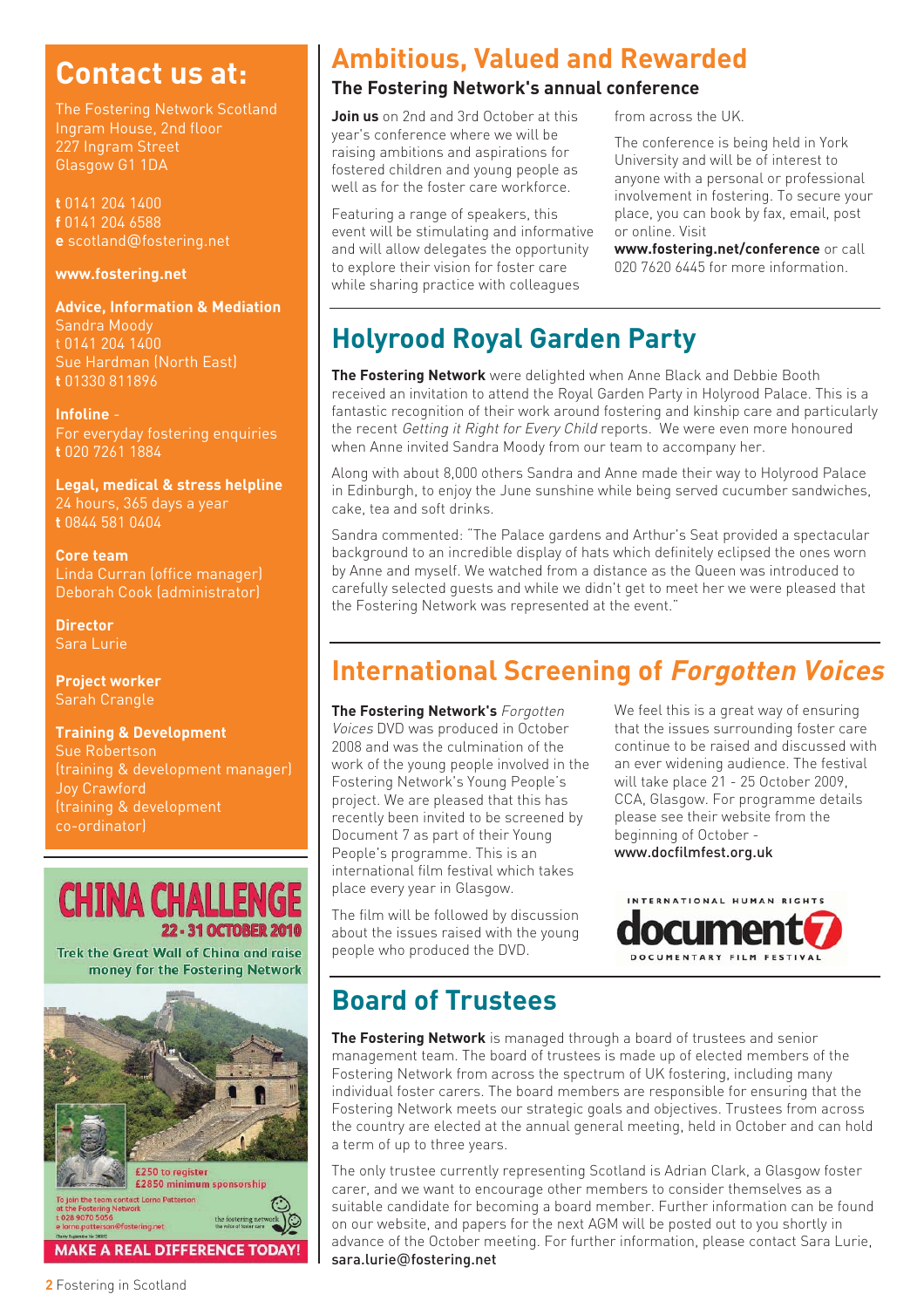## **Contact us at:**

The Fostering Network Scotland Ingram House, 2nd floor 227 Ingram Street Glasgow G1 1DA

**t** 0141 204 1400 **f** 0141 204 6588 **e** scotland@fostering.net

#### **www.fostering.net**

**Advice, Information & Mediation**  Sandra Moody t 0141 204 1400 Sue Hardman (North East) **t** 01330 811896

**Infoline** - For everyday fostering enquiries **t** 020 7261 1884

**Legal, medical & stress helpline** 24 hours, 365 days a year **t** 0844 581 0404

**Core team** Linda Curran (office manager) Deborah Cook (administrator)

**Director** Sara Lurie

**Project worker** Sarah Crangle

**Training & Development** Sue Robertson (training & development manager) Joy Crawford (training & development co-ordinator)



Trek the Great Wall of China and raise money for the Fostering Network



## **Ambitious, Valued and Rewarded**

#### **The Fostering Network's annual conference**

**Join us** on 2nd and 3rd October at this year's conference where we will be raising ambitions and aspirations for fostered children and young people as well as for the foster care workforce.

Featuring a range of speakers, this event will be stimulating and informative and will allow delegates the opportunity to explore their vision for foster care while sharing practice with colleagues

from across the UK.

The conference is being held in York University and will be of interest to anyone with a personal or professional involvement in fostering. To secure your place, you can book by fax, email, post or online. Visit

**www.fostering.net/conference** or call 020 7620 6445 for more information.

## **Holyrood Royal Garden Party**

**The Fostering Network** were delighted when Anne Black and Debbie Booth received an invitation to attend the Royal Garden Party in Holyrood Palace. This is a fantastic recognition of their work around fostering and kinship care and particularly the recent Getting it Right for Every Child reports. We were even more honoured when Anne invited Sandra Moody from our team to accompany her.

Along with about 8,000 others Sandra and Anne made their way to Holyrood Palace in Edinburgh, to enjoy the June sunshine while being served cucumber sandwiches, cake, tea and soft drinks.

Sandra commented: "The Palace gardens and Arthur's Seat provided a spectacular background to an incredible display of hats which definitely eclipsed the ones worn by Anne and myself. We watched from a distance as the Queen was introduced to carefully selected guests and while we didn't get to meet her we were pleased that the Fostering Network was represented at the event."

## **International Screening of Forgotten Voices**

**The Fostering Network's** Forgotten Voices DVD was produced in October 2008 and was the culmination of the work of the young people involved in the Fostering Network's Young People's project. We are pleased that this has recently been invited to be screened by Document 7 as part of their Young People's programme. This is an international film festival which takes place every year in Glasgow.

The film will be followed by discussion about the issues raised with the young people who produced the DVD.

We feel this is a great way of ensuring that the issues surrounding foster care continue to be raised and discussed with an ever widening audience. The festival will take place 21 - 25 October 2009, CCA, Glasgow. For programme details please see their website from the beginning of October www.docfilmfest.org.uk



## **Board of Trustees**

**The Fostering Network** is managed through a board of trustees and senior management team. The board of trustees is made up of elected members of the Fostering Network from across the spectrum of UK fostering, including many individual foster carers. The board members are responsible for ensuring that the Fostering Network meets our strategic goals and objectives. Trustees from across the country are elected at the annual general meeting, held in October and can hold a term of up to three years.

The only trustee currently representing Scotland is Adrian Clark, a Glasgow foster carer, and we want to encourage other members to consider themselves as a suitable candidate for becoming a board member. Further information can be found on our website, and papers for the next AGM will be posted out to you shortly in advance of the October meeting. For further information, please contact Sara Lurie, sara.lurie@fostering.net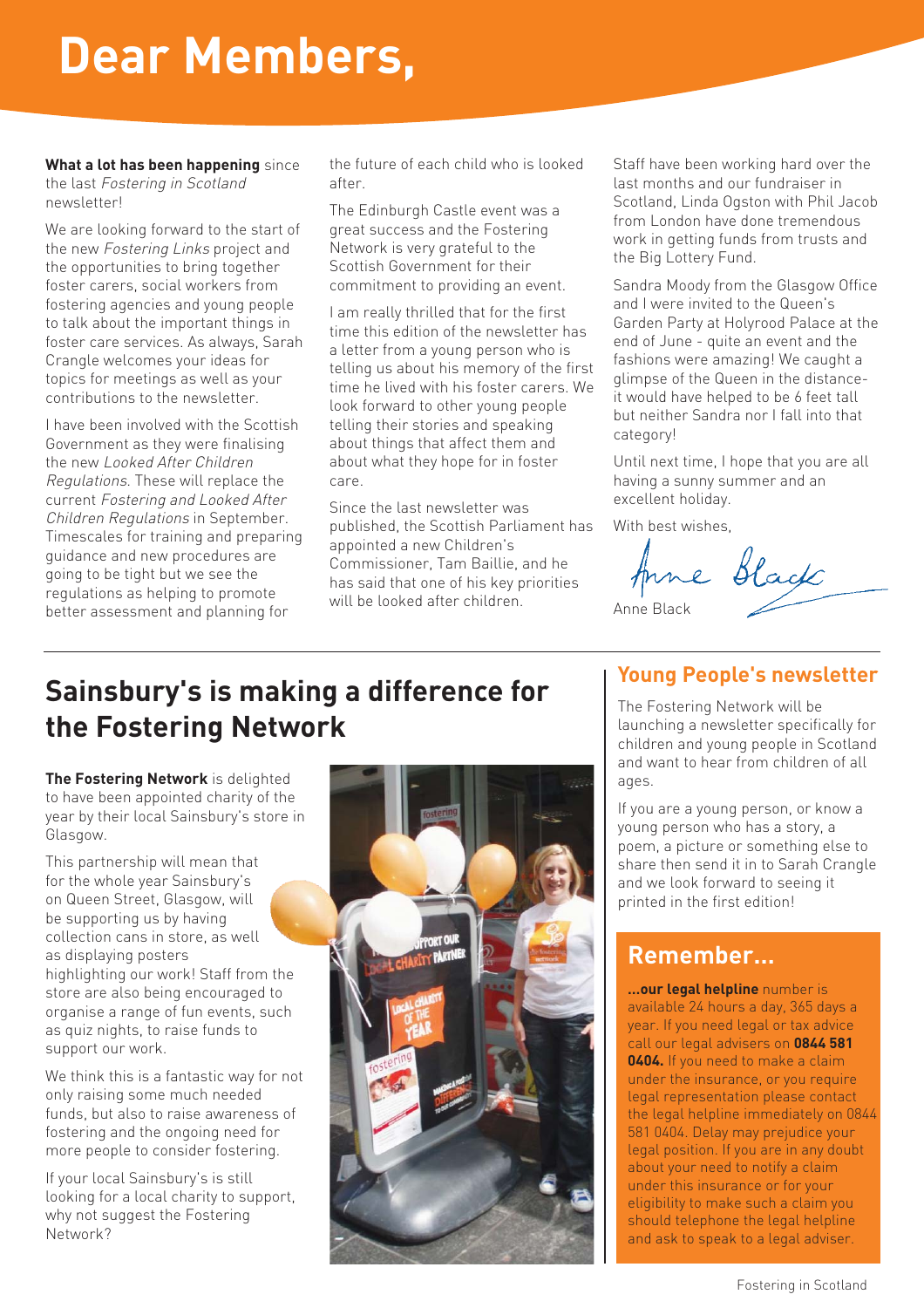# **Dear Members,**

**What a lot has been happening** since the last Fostering in Scotland newsletter!

We are looking forward to the start of the new Fostering Links project and the opportunities to bring together foster carers, social workers from fostering agencies and young people to talk about the important things in foster care services. As always, Sarah Crangle welcomes your ideas for topics for meetings as well as your contributions to the newsletter.

I have been involved with the Scottish Government as they were finalising the new Looked After Children Regulations. These will replace the current Fostering and Looked After Children Regulations in September. Timescales for training and preparing guidance and new procedures are going to be tight but we see the regulations as helping to promote better assessment and planning for

the future of each child who is looked after.

The Edinburgh Castle event was a great success and the Fostering Network is very grateful to the Scottish Government for their commitment to providing an event.

I am really thrilled that for the first time this edition of the newsletter has a letter from a young person who is telling us about his memory of the first time he lived with his foster carers. We look forward to other young people telling their stories and speaking about things that affect them and about what they hope for in foster care.

Since the last newsletter was published, the Scottish Parliament has appointed a new Children's Commissioner, Tam Baillie, and he has said that one of his key priorities will be looked after children.

Staff have been working hard over the last months and our fundraiser in Scotland, Linda Ogston with Phil Jacob from London have done tremendous work in getting funds from trusts and the Big Lottery Fund.

Sandra Moody from the Glasgow Office and I were invited to the Queen's Garden Party at Holyrood Palace at the end of June - quite an event and the fashions were amazing! We caught a glimpse of the Queen in the distanceit would have helped to be 6 feet tall but neither Sandra nor I fall into that category!

Until next time, I hope that you are all having a sunny summer and an excellent holiday.

With best wishes.

Anne Black

## **Sainsbury's is making a difference for the Fostering Network**

**The Fostering Network** is delighted to have been appointed charity of the year by their local Sainsbury's store in Glasgow.

This partnership will mean that for the whole year Sainsbury's on Queen Street, Glasgow, will be supporting us by having collection cans in store, as well as displaying posters highlighting our work! Staff from the store are also being encouraged to organise a range of fun events, such as quiz nights, to raise funds to support our work.

We think this is a fantastic way for not only raising some much needed funds, but also to raise awareness of fostering and the ongoing need for more people to consider fostering.

If your local Sainsbury's is still looking for a local charity to support, why not suggest the Fostering Network?



#### **Young People's newsletter**

The Fostering Network will be launching a newsletter specifically for children and young people in Scotland and want to hear from children of all ages.

If you are a young person, or know a young person who has a story, a poem, a picture or something else to share then send it in to Sarah Crangle and we look forward to seeing it printed in the first edition!

#### **Remember…**

**…our legal helpline** number is available 24 hours a day, 365 days a year. If you need legal or tax advice call our legal advisers on **0844 581 0404.** If you need to make a claim under the insurance, or you require legal representation please contact the legal helpline immediately on 0844 581 0404. Delay may prejudice your legal position. If you are in any doubt about your need to notify a claim under this insurance or for your eligibility to make such a claim you should telephone the legal helpline and ask to speak to a legal adviser.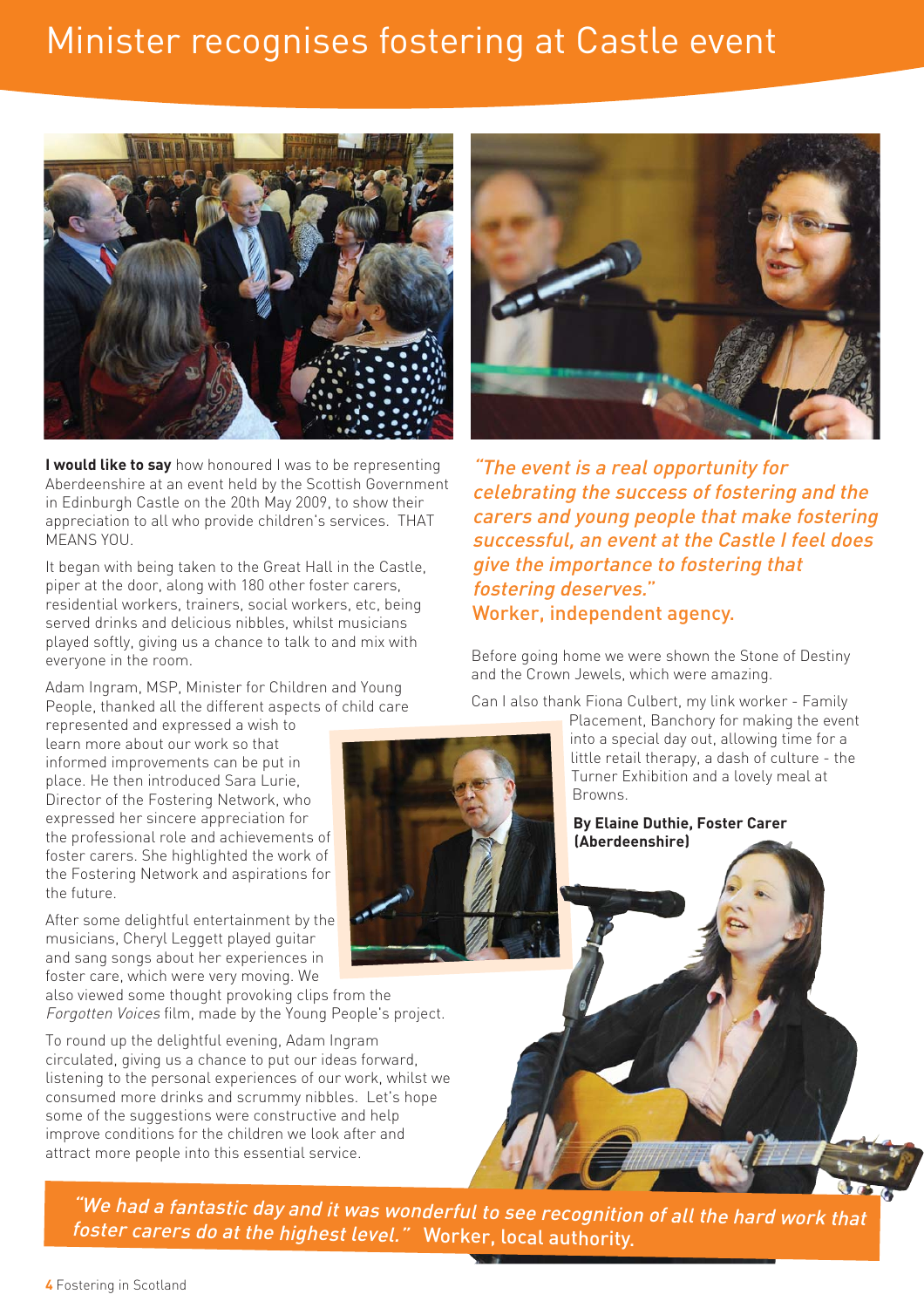## Minister recognises fostering at Castle event



**I would like to say** how honoured I was to be representing Aberdeenshire at an event held by the Scottish Government in Edinburgh Castle on the 20th May 2009, to show their appreciation to all who provide children's services. THAT MEANS YOU.

It began with being taken to the Great Hall in the Castle, piper at the door, along with 180 other foster carers, residential workers, trainers, social workers, etc, being served drinks and delicious nibbles, whilst musicians played softly, giving us a chance to talk to and mix with everyone in the room.

Adam Ingram, MSP, Minister for Children and Young People, thanked all the different aspects of child care

represented and expressed a wish to learn more about our work so that informed improvements can be put in place. He then introduced Sara Lurie, Director of the Fostering Network, who expressed her sincere appreciation for the professional role and achievements of foster carers. She highlighted the work of the Fostering Network and aspirations for the future.

After some delightful entertainment by the musicians, Cheryl Leggett played guitar and sang songs about her experiences in foster care, which were very moving. We

also viewed some thought provoking clips from the Forgotten Voices film, made by the Young People's project.

To round up the delightful evening, Adam Ingram circulated, giving us a chance to put our ideas forward, listening to the personal experiences of our work, whilst we consumed more drinks and scrummy nibbles. Let's hope some of the suggestions were constructive and help improve conditions for the children we look after and attract more people into this essential service.



"The event is a real opportunity for celebrating the success of fostering and the carers and young people that make fostering successful, an event at the Castle I feel does give the importance to fostering that fostering deserves." Worker, independent agency.

Before going home we were shown the Stone of Destiny and the Crown Jewels, which were amazing.

Can I also thank Fiona Culbert, my link worker - Family

Placement, Banchory for making the event into a special day out, allowing time for a little retail therapy, a dash of culture - the Turner Exhibition and a lovely meal at Browns.

**By Elaine Duthie, Foster Carer (Aberdeenshire)**

"We had a fantastic day and it was wonderful to see recognition of all the hard work that foster carers do at the highest level." Worker, local authority.

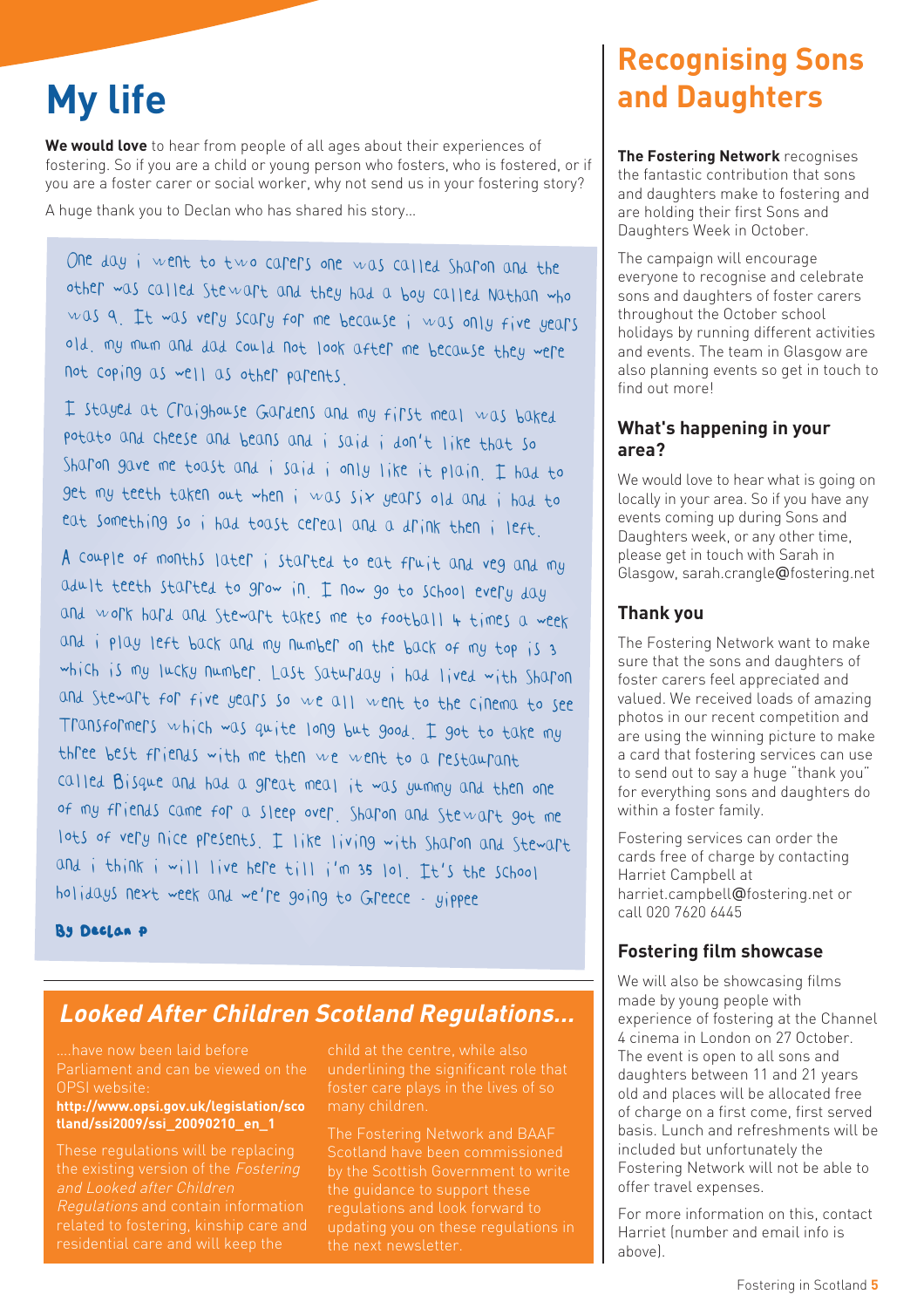**We would love** to hear from people of all ages about their experiences of fostering. So if you are a child or young person who fosters, who is fostered, or if you are a foster carer or social worker, why not send us in your fostering story?

A huge thank you to Declan who has shared his story…

One day i went to two carers one was called Sharon and the other was called Stewart and they had a boy called Nathan who was 9. It was very scary for me because i was only five years old. my mum and dad could not look after me because they were not coping as well as other parents.

I stayed at Craighouse Gardens and my first meal was baked potato and cheese and beans and i said i don't like that so Sharon gave me toast and i said i only like it plain. I had to get my teeth taken out when i was six years old and i had to eat something so i had toast cereal and a drink then i left.

A couple of months later i started to eat fruit and veg and my adult teeth started to grow in. I now go to school every day and work hard and Stewart takes me to football 4 times a week and i play left back and my number on the back of my top is 3 which is my lucky number. Last Saturday i had lived with Sharon and Stewart for five years so we all went to the cinema to see Transformers which was quite long but good. I got to take my three best friends with me then we went to a restaurant called Bisque and had a great meal it was yummy and then one of my friends came for a sleep over. Sharon and Stewart got me lots of very nice presents. I like living with Sharon and Stewart and i think i will live here till i'm 35 lol. It's the school holidays next week and we're going to Greece - yippee

By Declan P

### **Looked After Children Scotland Regulations…**

….have now been laid before Parliament and can be viewed on the OPSI website:

#### **http://www.opsi.gov.uk/legislation/sco tland/ssi2009/ssi\_20090210\_en\_1**

These regulations will be replacing the existing version of the Fostering and Looked after Children Regulations and contain information related to fostering, kinship care and residential care and will keep the

child at the centre, while also underlining the significant role that many children.

The Fostering Network and BAAF Scotland have been commissioned by the Scottish Government to write the guidance to support these the next newsletter.

## **Recognising Sons My life and Daughters**

**The Fostering Network** recognises the fantastic contribution that sons and daughters make to fostering and are holding their first Sons and Daughters Week in October.

The campaign will encourage everyone to recognise and celebrate sons and daughters of foster carers throughout the October school holidays by running different activities and events. The team in Glasgow are also planning events so get in touch to find out more!

#### **What's happening in your area?**

We would love to hear what is going on locally in your area. So if you have any events coming up during Sons and Daughters week, or any other time, please get in touch with Sarah in Glasgow, sarah.crangle@fostering.net

#### **Thank you**

The Fostering Network want to make sure that the sons and daughters of foster carers feel appreciated and valued. We received loads of amazing photos in our recent competition and are using the winning picture to make a card that fostering services can use to send out to say a huge "thank you" for everything sons and daughters do within a foster family.

Fostering services can order the cards free of charge by contacting Harriet Campbell at harriet.campbell@fostering.net or call 020 7620 6445

#### **Fostering film showcase**

We will also be showcasing films made by young people with experience of fostering at the Channel 4 cinema in London on 27 October. The event is open to all sons and daughters between 11 and 21 years old and places will be allocated free of charge on a first come, first served basis. Lunch and refreshments will be included but unfortunately the Fostering Network will not be able to offer travel expenses.

For more information on this, contact Harriet (number and email info is above).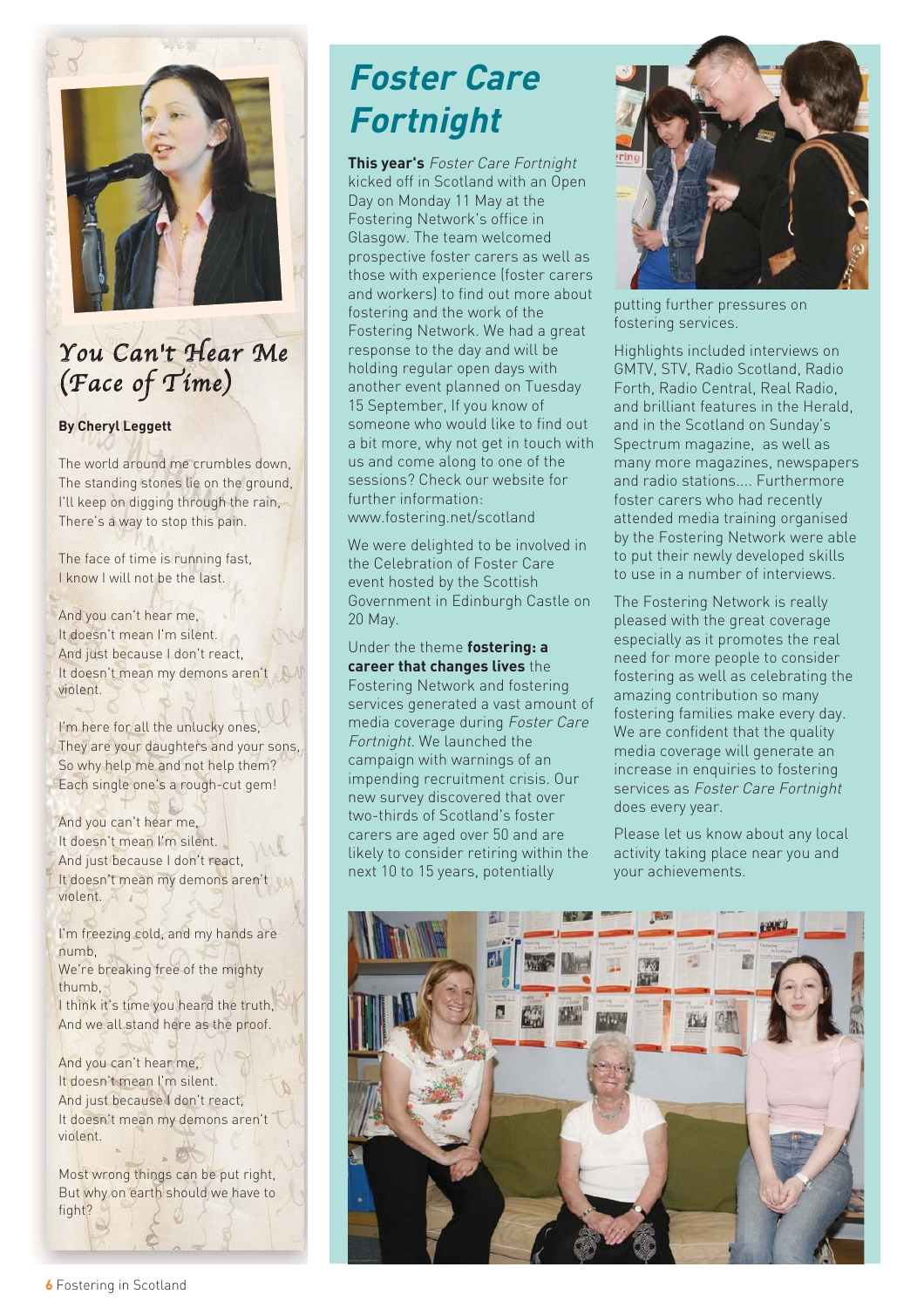

## You Can't Hear Me (Face of Time)

#### **By Cheryl Leggett**

The world around me crumbles down, The standing stones lie on the ground, I'll keep on digging through the rain, There's a way to stop this pain.

The face of time is running fast, I know I will not be the last.

And you can't hear me, It doesn't mean I'm silent. And just because I don't react, It doesn't mean my demons aren't violent.

I'm here for all the unlucky ones, They are your daughters and your sons, So why help me and not help them? Each single one's a rough-cut gem!

And you can't hear me, It doesn't mean I'm silent. And just because I don't react, It doesn't mean my demons aren't violent.

I'm freezing cold, and my hands are numb, We're breaking free of the mighty thumb, I think it's time you heard the truth, And we all stand here as the proof.

And you can't hear me, It doesn't mean I'm silent. And just because I don't react, It doesn't mean my demons aren't violent.

Most wrong things can be put right, But why on earth should we have to fight?

## **Foster Care Fortnight**

**This year's** Foster Care Fortnight kicked off in Scotland with an Open Day on Monday 11 May at the Fostering Network's office in Glasgow. The team welcomed prospective foster carers as well as those with experience (foster carers and workers) to find out more about fostering and the work of the Fostering Network. We had a great response to the day and will be holding regular open days with another event planned on Tuesday 15 September, If you know of someone who would like to find out a bit more, why not get in touch with us and come along to one of the sessions? Check our website for further information: www.fostering.net/scotland

We were delighted to be involved in the Celebration of Foster Care event hosted by the Scottish Government in Edinburgh Castle on 20 May.

Under the theme **fostering: a career that changes lives** the Fostering Network and fostering services generated a vast amount of media coverage during Foster Care Fortnight. We launched the campaign with warnings of an impending recruitment crisis. Our new survey discovered that over two-thirds of Scotland's foster carers are aged over 50 and are likely to consider retiring within the next 10 to 15 years, potentially



putting further pressures on fostering services.

Highlights included interviews on GMTV, STV, Radio Scotland, Radio Forth, Radio Central, Real Radio, and brilliant features in the Herald, and in the Scotland on Sunday's Spectrum magazine, as well as many more magazines, newspapers and radio stations.... Furthermore foster carers who had recently attended media training organised by the Fostering Network were able to put their newly developed skills to use in a number of interviews.

The Fostering Network is really pleased with the great coverage especially as it promotes the real need for more people to consider fostering as well as celebrating the amazing contribution so many fostering families make every day. We are confident that the quality media coverage will generate an increase in enquiries to fostering services as Foster Care Fortnight does every year.

Please let us know about any local activity taking place near you and your achievements.

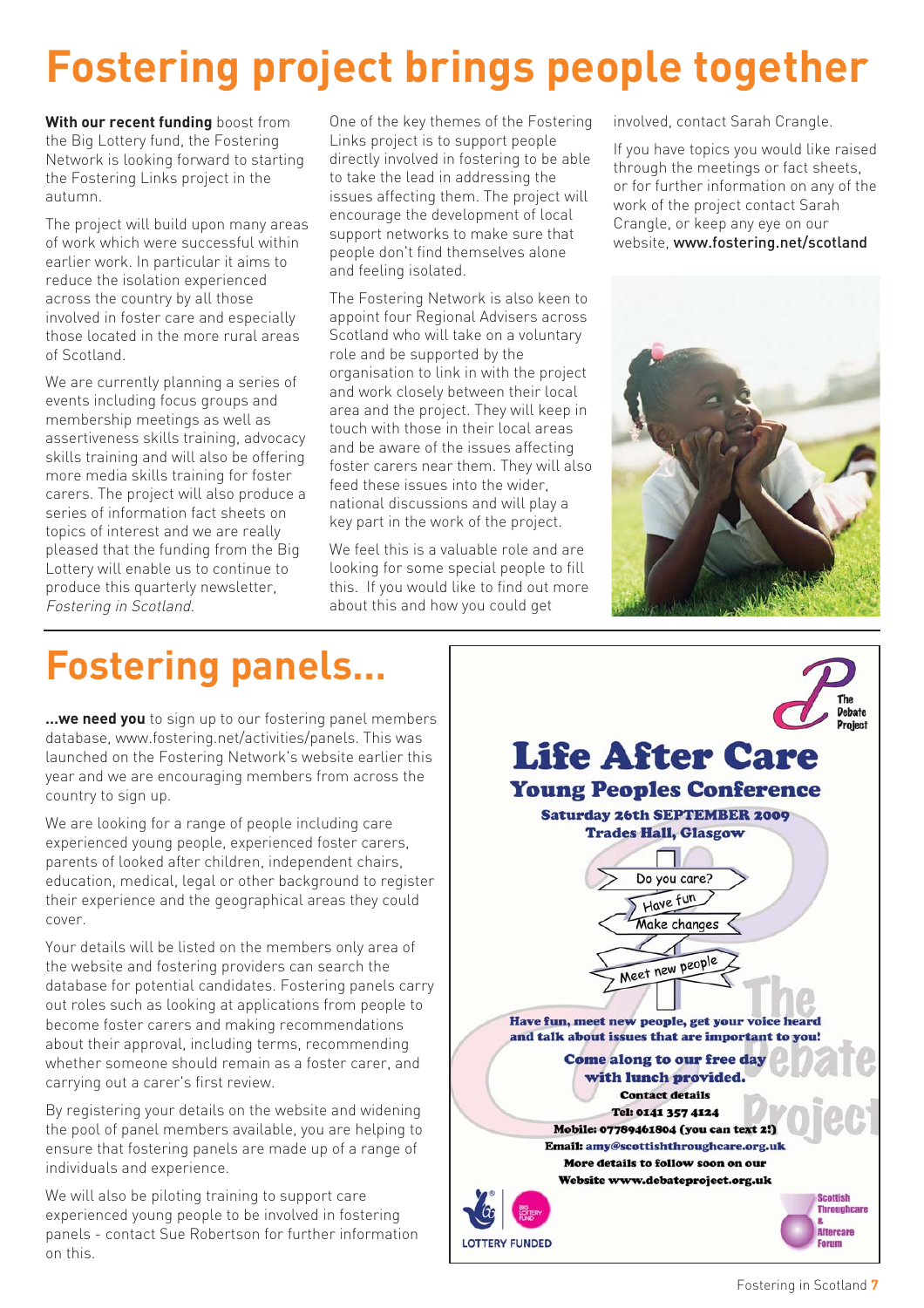# **Fostering project brings people together**

**With our recent funding** boost from the Big Lottery fund, the Fostering Network is looking forward to starting the Fostering Links project in the autumn.

The project will build upon many areas of work which were successful within earlier work. In particular it aims to reduce the isolation experienced across the country by all those involved in foster care and especially those located in the more rural areas of Scotland.

We are currently planning a series of events including focus groups and membership meetings as well as assertiveness skills training, advocacy skills training and will also be offering more media skills training for foster carers. The project will also produce a series of information fact sheets on topics of interest and we are really pleased that the funding from the Big Lottery will enable us to continue to produce this quarterly newsletter, Fostering in Scotland.

One of the key themes of the Fostering Links project is to support people directly involved in fostering to be able to take the lead in addressing the issues affecting them. The project will encourage the development of local support networks to make sure that people don't find themselves alone and feeling isolated.

The Fostering Network is also keen to appoint four Regional Advisers across Scotland who will take on a voluntary role and be supported by the organisation to link in with the project and work closely between their local area and the project. They will keep in touch with those in their local areas and be aware of the issues affecting foster carers near them. They will also feed these issues into the wider, national discussions and will play a key part in the work of the project.

We feel this is a valuable role and are looking for some special people to fill this. If you would like to find out more about this and how you could get

involved, contact Sarah Crangle.

If you have topics you would like raised through the meetings or fact sheets, or for further information on any of the work of the project contact Sarah Crangle, or keep any eye on our website, www.fostering.net/scotland



## **Fostering panels…**

**…we need you** to sign up to our fostering panel members database, www.fostering.net/activities/panels. This was launched on the Fostering Network's website earlier this year and we are encouraging members from across the country to sign up.

We are looking for a range of people including care experienced young people, experienced foster carers, parents of looked after children, independent chairs, education, medical, legal or other background to register their experience and the geographical areas they could cover.

Your details will be listed on the members only area of the website and fostering providers can search the database for potential candidates. Fostering panels carry out roles such as looking at applications from people to become foster carers and making recommendations about their approval, including terms, recommending whether someone should remain as a foster carer, and carrying out a carer's first review.

By registering your details on the website and widening the pool of panel members available, you are helping to ensure that fostering panels are made up of a range of individuals and experience.

We will also be piloting training to support care experienced young people to be involved in fostering panels - contact Sue Robertson for further information on this.